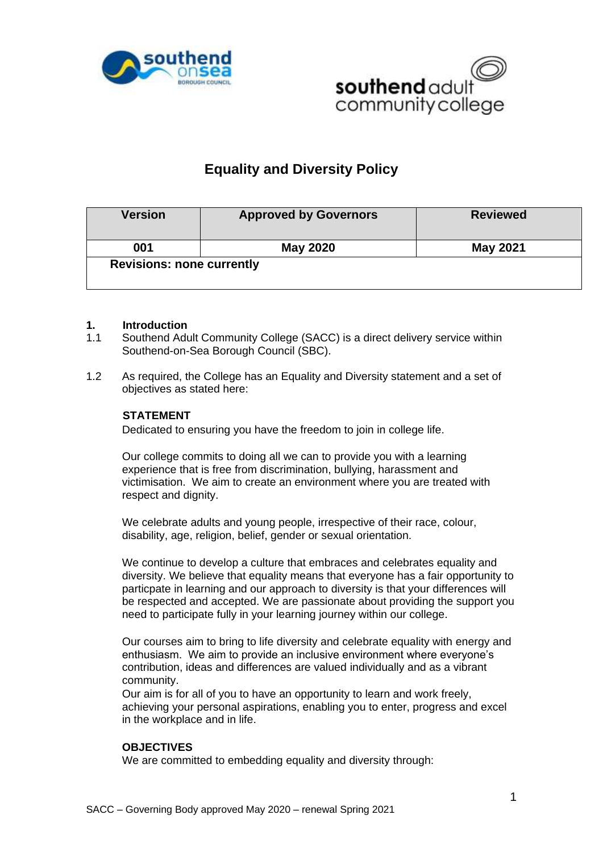



# **Equality and Diversity Policy**

| <b>Version</b>                   | <b>Approved by Governors</b> | <b>Reviewed</b> |
|----------------------------------|------------------------------|-----------------|
| 001                              | May 2020                     | May 2021        |
| <b>Revisions: none currently</b> |                              |                 |

### **1. Introduction**

- 1.1 Southend Adult Community College (SACC) is a direct delivery service within Southend-on-Sea Borough Council (SBC).
- 1.2 As required, the College has an Equality and Diversity statement and a set of objectives as stated here:

### **STATEMENT**

Dedicated to ensuring you have the freedom to join in college life.

Our college commits to doing all we can to provide you with a learning experience that is free from discrimination, bullying, harassment and victimisation. We aim to create an environment where you are treated with respect and dignity.

We celebrate adults and young people, irrespective of their race, colour, disability, age, religion, belief, gender or sexual orientation.

We continue to develop a culture that embraces and celebrates equality and diversity. We believe that equality means that everyone has a fair opportunity to particpate in learning and our approach to diversity is that your differences will be respected and accepted. We are passionate about providing the support you need to participate fully in your learning journey within our college.

Our courses aim to bring to life diversity and celebrate equality with energy and enthusiasm. We aim to provide an inclusive environment where everyone's contribution, ideas and differences are valued individually and as a vibrant community.

Our aim is for all of you to have an opportunity to learn and work freely, achieving your personal aspirations, enabling you to enter, progress and excel in the workplace and in life.

#### **OBJECTIVES**

We are committed to embedding equality and diversity through: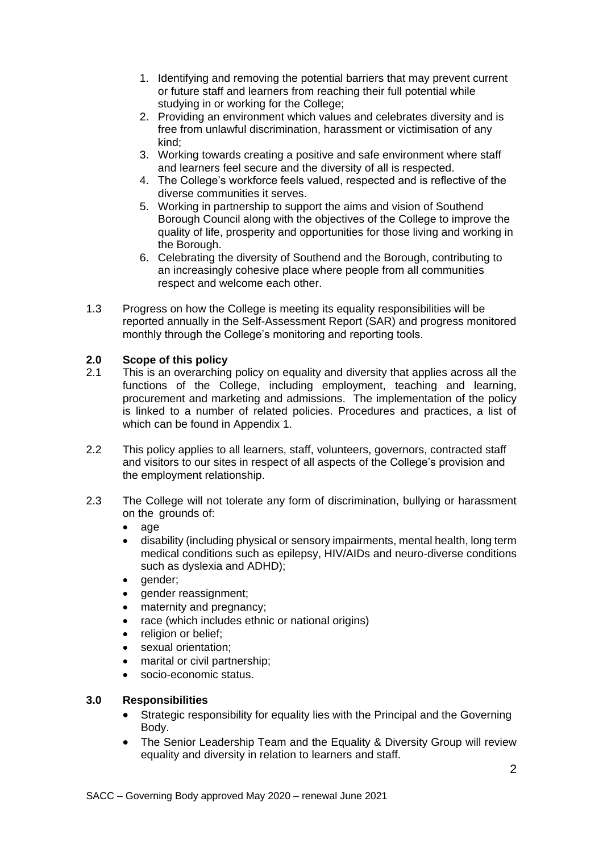- 1. Identifying and removing the potential barriers that may prevent current or future staff and learners from reaching their full potential while studying in or working for the College;
- 2. Providing an environment which values and celebrates diversity and is free from unlawful discrimination, harassment or victimisation of any kind;
- 3. Working towards creating a positive and safe environment where staff and learners feel secure and the diversity of all is respected.
- 4. The College's workforce feels valued, respected and is reflective of the diverse communities it serves.
- 5. Working in partnership to support the aims and vision of Southend Borough Council along with the objectives of the College to improve the quality of life, prosperity and opportunities for those living and working in the Borough.
- 6. Celebrating the diversity of Southend and the Borough, contributing to an increasingly cohesive place where people from all communities respect and welcome each other.
- 1.3 Progress on how the College is meeting its equality responsibilities will be reported annually in the Self-Assessment Report (SAR) and progress monitored monthly through the College's monitoring and reporting tools.

## **2.0 Scope of this policy**

- 2.1 This is an overarching policy on equality and diversity that applies across all the functions of the College, including employment, teaching and learning, procurement and marketing and admissions. The implementation of the policy is linked to a number of related policies. Procedures and practices, a list of which can be found in Appendix 1.
- 2.2 This policy applies to all learners, staff, volunteers, governors, contracted staff and visitors to our sites in respect of all aspects of the College's provision and the employment relationship.
- 2.3 The College will not tolerate any form of discrimination, bullying or harassment on the grounds of:
	- $\bullet$  age
	- disability (including physical or sensory impairments, mental health, long term medical conditions such as epilepsy, HIV/AIDs and neuro-diverse conditions such as dyslexia and ADHD);
	- gender;
	- gender reassignment;
	- maternity and pregnancy;
	- race (which includes ethnic or national origins)
	- religion or belief;
	- sexual orientation;
	- marital or civil partnership:
	- socio-economic status.

### **3.0 Responsibilities**

- Strategic responsibility for equality lies with the Principal and the Governing Body.
- The Senior Leadership Team and the Equality & Diversity Group will review equality and diversity in relation to learners and staff.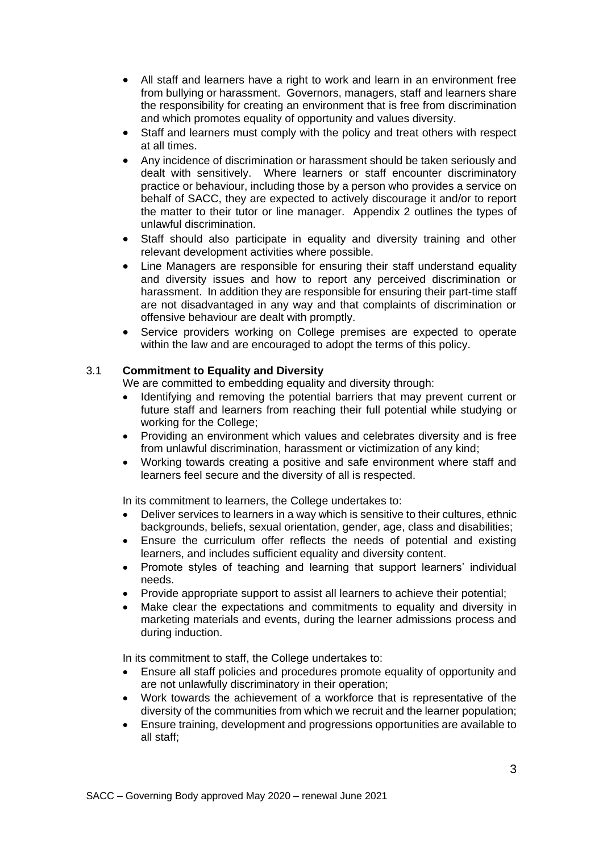- All staff and learners have a right to work and learn in an environment free from bullying or harassment. Governors, managers, staff and learners share the responsibility for creating an environment that is free from discrimination and which promotes equality of opportunity and values diversity.
- Staff and learners must comply with the policy and treat others with respect at all times.
- Any incidence of discrimination or harassment should be taken seriously and dealt with sensitively. Where learners or staff encounter discriminatory practice or behaviour, including those by a person who provides a service on behalf of SACC, they are expected to actively discourage it and/or to report the matter to their tutor or line manager. Appendix 2 outlines the types of unlawful discrimination.
- Staff should also participate in equality and diversity training and other relevant development activities where possible.
- Line Managers are responsible for ensuring their staff understand equality and diversity issues and how to report any perceived discrimination or harassment. In addition they are responsible for ensuring their part-time staff are not disadvantaged in any way and that complaints of discrimination or offensive behaviour are dealt with promptly.
- Service providers working on College premises are expected to operate within the law and are encouraged to adopt the terms of this policy.

# 3.1 **Commitment to Equality and Diversity**

We are committed to embedding equality and diversity through:

- Identifying and removing the potential barriers that may prevent current or future staff and learners from reaching their full potential while studying or working for the College;
- Providing an environment which values and celebrates diversity and is free from unlawful discrimination, harassment or victimization of any kind;
- Working towards creating a positive and safe environment where staff and learners feel secure and the diversity of all is respected.

In its commitment to learners, the College undertakes to:

- Deliver services to learners in a way which is sensitive to their cultures, ethnic backgrounds, beliefs, sexual orientation, gender, age, class and disabilities;
- Ensure the curriculum offer reflects the needs of potential and existing learners, and includes sufficient equality and diversity content.
- Promote styles of teaching and learning that support learners' individual needs.
- Provide appropriate support to assist all learners to achieve their potential;
- Make clear the expectations and commitments to equality and diversity in marketing materials and events, during the learner admissions process and during induction.

In its commitment to staff, the College undertakes to:

- Ensure all staff policies and procedures promote equality of opportunity and are not unlawfully discriminatory in their operation;
- Work towards the achievement of a workforce that is representative of the diversity of the communities from which we recruit and the learner population;
- Ensure training, development and progressions opportunities are available to all staff;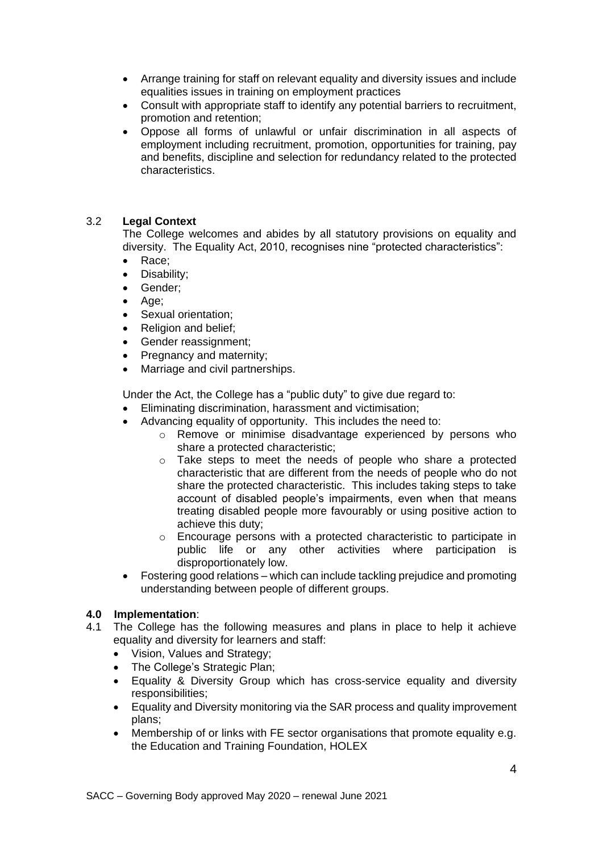- Arrange training for staff on relevant equality and diversity issues and include equalities issues in training on employment practices
- Consult with appropriate staff to identify any potential barriers to recruitment, promotion and retention;
- Oppose all forms of unlawful or unfair discrimination in all aspects of employment including recruitment, promotion, opportunities for training, pay and benefits, discipline and selection for redundancy related to the protected characteristics.

## 3.2 **Legal Context**

The College welcomes and abides by all statutory provisions on equality and diversity. The Equality Act, 2010, recognises nine "protected characteristics":

- Race;
- Disability;
- Gender;
- Age;
- Sexual orientation;
- Religion and belief;
- Gender reassignment;
- Pregnancy and maternity:
- Marriage and civil partnerships.

Under the Act, the College has a "public duty" to give due regard to:

- Eliminating discrimination, harassment and victimisation;
- Advancing equality of opportunity. This includes the need to:
	- o Remove or minimise disadvantage experienced by persons who share a protected characteristic;
	- o Take steps to meet the needs of people who share a protected characteristic that are different from the needs of people who do not share the protected characteristic. This includes taking steps to take account of disabled people's impairments, even when that means treating disabled people more favourably or using positive action to achieve this duty;
	- o Encourage persons with a protected characteristic to participate in public life or any other activities where participation is disproportionately low.
- Fostering good relations which can include tackling prejudice and promoting understanding between people of different groups.

### **4.0 Implementation**:

- 4.1 The College has the following measures and plans in place to help it achieve equality and diversity for learners and staff:
	- Vision, Values and Strategy:
	- The College's Strategic Plan:
	- Equality & Diversity Group which has cross-service equality and diversity responsibilities;
	- Equality and Diversity monitoring via the SAR process and quality improvement plans;
	- Membership of or links with FE sector organisations that promote equality e.g. the Education and Training Foundation, HOLEX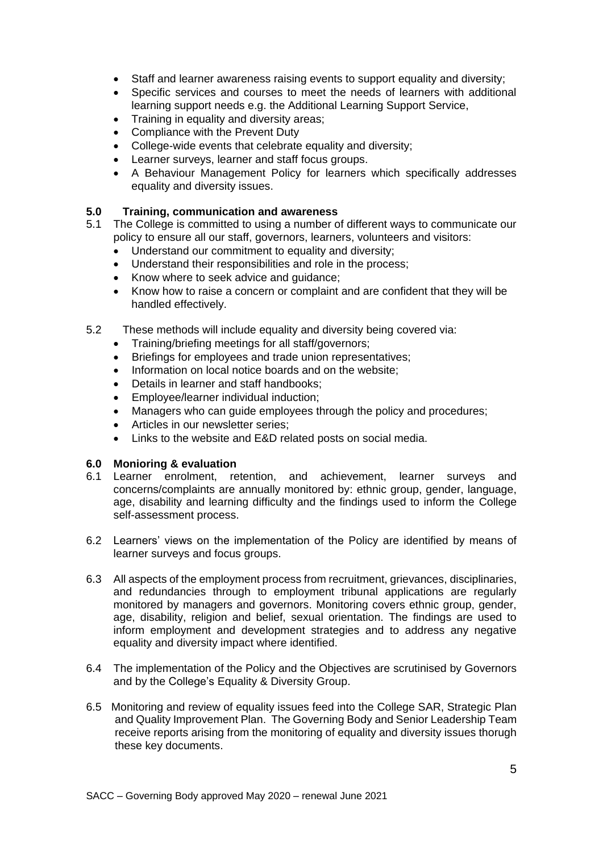- Staff and learner awareness raising events to support equality and diversity;
- Specific services and courses to meet the needs of learners with additional learning support needs e.g. the Additional Learning Support Service,
- Training in equality and diversity areas:
- Compliance with the Prevent Duty
- College-wide events that celebrate equality and diversity;
- Learner surveys, learner and staff focus groups.
- A Behaviour Management Policy for learners which specifically addresses equality and diversity issues.

### **5.0 Training, communication and awareness**

- 5.1 The College is committed to using a number of different ways to communicate our policy to ensure all our staff, governors, learners, volunteers and visitors:
	- Understand our commitment to equality and diversity;
	- Understand their responsibilities and role in the process;
	- Know where to seek advice and guidance;
	- Know how to raise a concern or complaint and are confident that they will be handled effectively.
- 5.2 These methods will include equality and diversity being covered via:
	- Training/briefing meetings for all staff/governors;
	- Briefings for employees and trade union representatives:
	- Information on local notice boards and on the website:
	- Details in learner and staff handbooks;
	- Employee/learner individual induction:
	- Managers who can guide employees through the policy and procedures;
	- Articles in our newsletter series;
	- Links to the website and E&D related posts on social media.

### **6.0 Monioring & evaluation**

- 6.1 Learner enrolment, retention, and achievement, learner surveys and concerns/complaints are annually monitored by: ethnic group, gender, language, age, disability and learning difficulty and the findings used to inform the College self-assessment process.
- 6.2 Learners' views on the implementation of the Policy are identified by means of learner surveys and focus groups.
- 6.3 All aspects of the employment process from recruitment, grievances, disciplinaries, and redundancies through to employment tribunal applications are regularly monitored by managers and governors. Monitoring covers ethnic group, gender, age, disability, religion and belief, sexual orientation. The findings are used to inform employment and development strategies and to address any negative equality and diversity impact where identified.
- 6.4 The implementation of the Policy and the Objectives are scrutinised by Governors and by the College's Equality & Diversity Group.
- 6.5 Monitoring and review of equality issues feed into the College SAR, Strategic Plan and Quality Improvement Plan. The Governing Body and Senior Leadership Team receive reports arising from the monitoring of equality and diversity issues thorugh these key documents.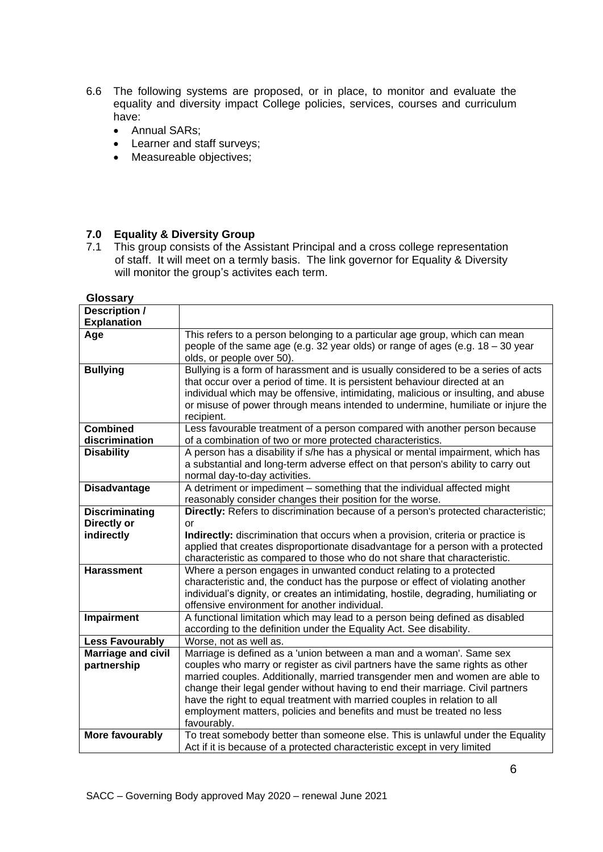- 6.6 The following systems are proposed, or in place, to monitor and evaluate the equality and diversity impact College policies, services, courses and curriculum have:
	- Annual SARs;
	- Learner and staff surveys;
	- Measureable objectives;

#### **7.0 Equality & Diversity Group**

7.1 This group consists of the Assistant Principal and a cross college representation of staff. It will meet on a termly basis. The link governor for Equality & Diversity will monitor the group's activites each term.

| Glossary                  |                                                                                      |
|---------------------------|--------------------------------------------------------------------------------------|
| Description /             |                                                                                      |
| <b>Explanation</b>        |                                                                                      |
| Age                       | This refers to a person belonging to a particular age group, which can mean          |
|                           | people of the same age (e.g. 32 year olds) or range of ages (e.g. 18 - 30 year       |
|                           | olds, or people over 50).                                                            |
| <b>Bullying</b>           | Bullying is a form of harassment and is usually considered to be a series of acts    |
|                           | that occur over a period of time. It is persistent behaviour directed at an          |
|                           | individual which may be offensive, intimidating, malicious or insulting, and abuse   |
|                           | or misuse of power through means intended to undermine, humiliate or injure the      |
|                           | recipient.                                                                           |
| <b>Combined</b>           | Less favourable treatment of a person compared with another person because           |
| discrimination            | of a combination of two or more protected characteristics.                           |
| <b>Disability</b>         | A person has a disability if s/he has a physical or mental impairment, which has     |
|                           | a substantial and long-term adverse effect on that person's ability to carry out     |
|                           | normal day-to-day activities.                                                        |
| <b>Disadvantage</b>       | A detriment or impediment - something that the individual affected might             |
|                           | reasonably consider changes their position for the worse.                            |
| <b>Discriminating</b>     | Directly: Refers to discrimination because of a person's protected characteristic;   |
| Directly or               | or                                                                                   |
| indirectly                | Indirectly: discrimination that occurs when a provision, criteria or practice is     |
|                           | applied that creates disproportionate disadvantage for a person with a protected     |
|                           | characteristic as compared to those who do not share that characteristic.            |
| <b>Harassment</b>         | Where a person engages in unwanted conduct relating to a protected                   |
|                           | characteristic and, the conduct has the purpose or effect of violating another       |
|                           | individual's dignity, or creates an intimidating, hostile, degrading, humiliating or |
|                           | offensive environment for another individual.                                        |
| <b>Impairment</b>         | A functional limitation which may lead to a person being defined as disabled         |
|                           | according to the definition under the Equality Act. See disability.                  |
| <b>Less Favourably</b>    | Worse, not as well as.                                                               |
| <b>Marriage and civil</b> | Marriage is defined as a 'union between a man and a woman'. Same sex                 |
| partnership               | couples who marry or register as civil partners have the same rights as other        |
|                           | married couples. Additionally, married transgender men and women are able to         |
|                           | change their legal gender without having to end their marriage. Civil partners       |
|                           | have the right to equal treatment with married couples in relation to all            |
|                           | employment matters, policies and benefits and must be treated no less                |
|                           | favourably.                                                                          |
| More favourably           | To treat somebody better than someone else. This is unlawful under the Equality      |
|                           | Act if it is because of a protected characteristic except in very limited            |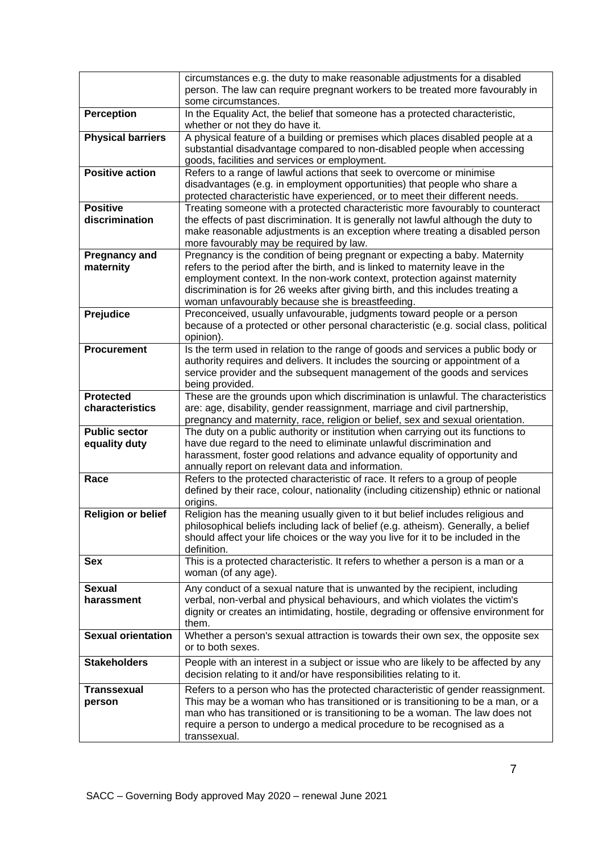|                                       | circumstances e.g. the duty to make reasonable adjustments for a disabled<br>person. The law can require pregnant workers to be treated more favourably in<br>some circumstances.                                                                                                                                                                                                |
|---------------------------------------|----------------------------------------------------------------------------------------------------------------------------------------------------------------------------------------------------------------------------------------------------------------------------------------------------------------------------------------------------------------------------------|
| <b>Perception</b>                     | In the Equality Act, the belief that someone has a protected characteristic,<br>whether or not they do have it.                                                                                                                                                                                                                                                                  |
| <b>Physical barriers</b>              | A physical feature of a building or premises which places disabled people at a<br>substantial disadvantage compared to non-disabled people when accessing<br>goods, facilities and services or employment.                                                                                                                                                                       |
| <b>Positive action</b>                | Refers to a range of lawful actions that seek to overcome or minimise<br>disadvantages (e.g. in employment opportunities) that people who share a<br>protected characteristic have experienced, or to meet their different needs.                                                                                                                                                |
| <b>Positive</b><br>discrimination     | Treating someone with a protected characteristic more favourably to counteract<br>the effects of past discrimination. It is generally not lawful although the duty to<br>make reasonable adjustments is an exception where treating a disabled person<br>more favourably may be required by law.                                                                                 |
| <b>Pregnancy and</b><br>maternity     | Pregnancy is the condition of being pregnant or expecting a baby. Maternity<br>refers to the period after the birth, and is linked to maternity leave in the<br>employment context. In the non-work context, protection against maternity<br>discrimination is for 26 weeks after giving birth, and this includes treating a<br>woman unfavourably because she is breastfeeding. |
| Prejudice                             | Preconceived, usually unfavourable, judgments toward people or a person<br>because of a protected or other personal characteristic (e.g. social class, political<br>opinion).                                                                                                                                                                                                    |
| <b>Procurement</b>                    | Is the term used in relation to the range of goods and services a public body or<br>authority requires and delivers. It includes the sourcing or appointment of a<br>service provider and the subsequent management of the goods and services<br>being provided.                                                                                                                 |
| <b>Protected</b><br>characteristics   | These are the grounds upon which discrimination is unlawful. The characteristics<br>are: age, disability, gender reassignment, marriage and civil partnership,<br>pregnancy and maternity, race, religion or belief, sex and sexual orientation.                                                                                                                                 |
| <b>Public sector</b><br>equality duty | The duty on a public authority or institution when carrying out its functions to<br>have due regard to the need to eliminate unlawful discrimination and<br>harassment, foster good relations and advance equality of opportunity and<br>annually report on relevant data and information.                                                                                       |
| Race                                  | Refers to the protected characteristic of race. It refers to a group of people<br>defined by their race, colour, nationality (including citizenship) ethnic or national<br>origins.                                                                                                                                                                                              |
| <b>Religion or belief</b>             | Religion has the meaning usually given to it but belief includes religious and<br>philosophical beliefs including lack of belief (e.g. atheism). Generally, a belief<br>should affect your life choices or the way you live for it to be included in the<br>definition.                                                                                                          |
| <b>Sex</b>                            | This is a protected characteristic. It refers to whether a person is a man or a<br>woman (of any age).                                                                                                                                                                                                                                                                           |
| <b>Sexual</b><br>harassment           | Any conduct of a sexual nature that is unwanted by the recipient, including<br>verbal, non-verbal and physical behaviours, and which violates the victim's<br>dignity or creates an intimidating, hostile, degrading or offensive environment for<br>them.                                                                                                                       |
| <b>Sexual orientation</b>             | Whether a person's sexual attraction is towards their own sex, the opposite sex<br>or to both sexes.                                                                                                                                                                                                                                                                             |
| <b>Stakeholders</b>                   | People with an interest in a subject or issue who are likely to be affected by any<br>decision relating to it and/or have responsibilities relating to it.                                                                                                                                                                                                                       |
| <b>Transsexual</b><br>person          | Refers to a person who has the protected characteristic of gender reassignment.<br>This may be a woman who has transitioned or is transitioning to be a man, or a<br>man who has transitioned or is transitioning to be a woman. The law does not<br>require a person to undergo a medical procedure to be recognised as a<br>transsexual.                                       |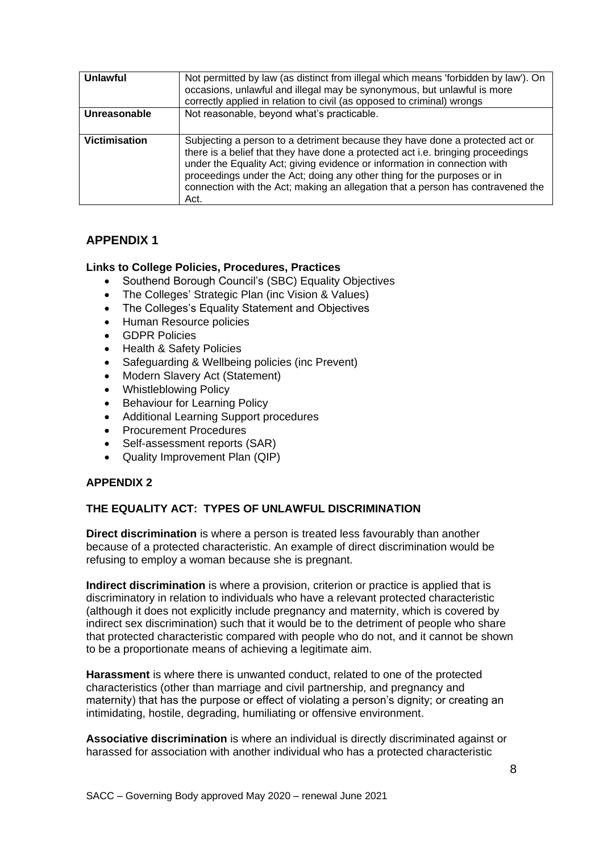| Unlawful      | Not permitted by law (as distinct from illegal which means 'forbidden by law'). On<br>occasions, unlawful and illegal may be synonymous, but unlawful is more<br>correctly applied in relation to civil (as opposed to criminal) wrongs                                                                                                                                                                            |
|---------------|--------------------------------------------------------------------------------------------------------------------------------------------------------------------------------------------------------------------------------------------------------------------------------------------------------------------------------------------------------------------------------------------------------------------|
| Unreasonable  | Not reasonable, beyond what's practicable.                                                                                                                                                                                                                                                                                                                                                                         |
| Victimisation | Subjecting a person to a detriment because they have done a protected act or<br>there is a belief that they have done a protected act i.e. bringing proceedings<br>under the Equality Act; giving evidence or information in connection with<br>proceedings under the Act; doing any other thing for the purposes or in<br>connection with the Act; making an allegation that a person has contravened the<br>Act. |

# **APPENDIX 1**

### **Links to College Policies, Procedures, Practices**

- Southend Borough Council's (SBC) Equality Objectives
- The Colleges' Strategic Plan (inc Vision & Values)
- The Colleges's Equality Statement and Objectives
- Human Resource policies
- GDPR Policies
- Health & Safety Policies
- Safeguarding & Wellbeing policies (inc Prevent)
- Modern Slavery Act (Statement)
- Whistleblowing Policy
- Behaviour for Learning Policy
- Additional Learning Support procedures
- Procurement Procedures
- Self-assessment reports (SAR)
- Quality Improvement Plan (QIP)

# **APPENDIX 2**

# **THE EQUALITY ACT: TYPES OF UNLAWFUL DISCRIMINATION**

**Direct discrimination** is where a person is treated less favourably than another because of a protected characteristic. An example of direct discrimination would be refusing to employ a woman because she is pregnant.

**Indirect discrimination** is where a provision, criterion or practice is applied that is discriminatory in relation to individuals who have a relevant protected characteristic (although it does not explicitly include pregnancy and maternity, which is covered by indirect sex discrimination) such that it would be to the detriment of people who share that protected characteristic compared with people who do not, and it cannot be shown to be a proportionate means of achieving a legitimate aim.

**Harassment** is where there is unwanted conduct, related to one of the protected characteristics (other than marriage and civil partnership, and pregnancy and maternity) that has the purpose or effect of violating a person's dignity; or creating an intimidating, hostile, degrading, humiliating or offensive environment.

**Associative discrimination** is where an individual is directly discriminated against or harassed for association with another individual who has a protected characteristic